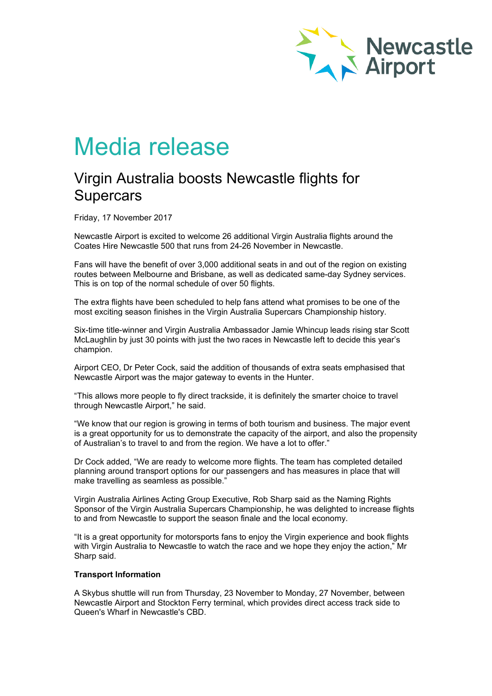

# Media release

# Virgin Australia boosts Newcastle flights for **Supercars**

Friday, 17 November 2017

Newcastle Airport is excited to welcome 26 additional Virgin Australia flights around the Coates Hire Newcastle 500 that runs from 24-26 November in Newcastle.

Fans will have the benefit of over 3,000 additional seats in and out of the region on existing routes between Melbourne and Brisbane, as well as dedicated same-day Sydney services. This is on top of the normal schedule of over 50 flights.

The extra flights have been scheduled to help fans attend what promises to be one of the most exciting season finishes in the Virgin Australia Supercars Championship history.

Six-time title-winner and Virgin Australia Ambassador Jamie Whincup leads rising star Scott McLaughlin by just 30 points with just the two races in Newcastle left to decide this year's champion.

Airport CEO, Dr Peter Cock, said the addition of thousands of extra seats emphasised that Newcastle Airport was the major gateway to events in the Hunter.

"This allows more people to fly direct trackside, it is definitely the smarter choice to travel through Newcastle Airport," he said.

"We know that our region is growing in terms of both tourism and business. The major event is a great opportunity for us to demonstrate the capacity of the airport, and also the propensity of Australian's to travel to and from the region. We have a lot to offer."

Dr Cock added, "We are ready to welcome more flights. The team has completed detailed planning around transport options for our passengers and has measures in place that will make travelling as seamless as possible."

Virgin Australia Airlines Acting Group Executive, Rob Sharp said as the Naming Rights Sponsor of the Virgin Australia Supercars Championship, he was delighted to increase flights to and from Newcastle to support the season finale and the local economy.

"It is a great opportunity for motorsports fans to enjoy the Virgin experience and book flights with Virgin Australia to Newcastle to watch the race and we hope they enjoy the action," Mr Sharp said.

### **Transport Information**

A Skybus shuttle will run from Thursday, 23 November to Monday, 27 November, between Newcastle Airport and Stockton Ferry terminal, which provides direct access track side to Queen's Wharf in Newcastle's CBD.